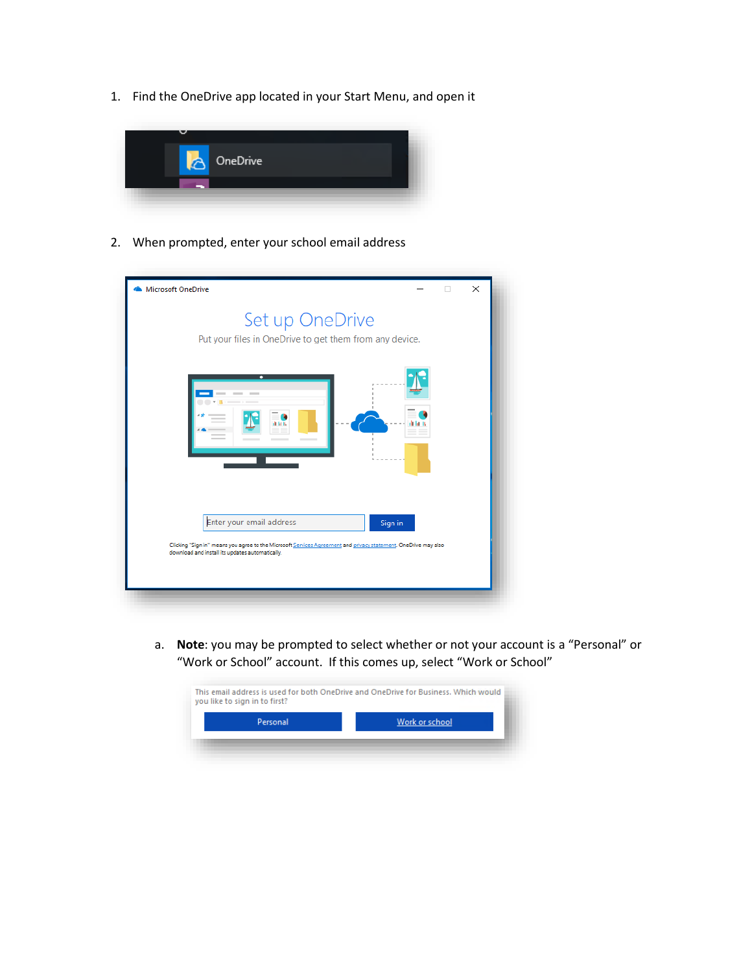1. Find the OneDrive app located in your Start Menu, and open it



2. When prompted, enter your school email address

| Microsoft OneDrive |                                                                                                                                                                                                |         | X |
|--------------------|------------------------------------------------------------------------------------------------------------------------------------------------------------------------------------------------|---------|---|
|                    | Set up OneDrive<br>Put your files in OneDrive to get them from any device.                                                                                                                     |         |   |
|                    | --                                                                                                                                                                                             |         |   |
|                    | Enter your email address<br>Clicking "Sign in" means you agree to the Microsoft Services Agreement and privacy statement. OneDrive may also<br>download and install its updates automatically. | Sign in |   |

a. **Note**: you may be prompted to select whether or not your account is a "Personal" or "Work or School" account. If this comes up, select "Work or School"

| Personal | Work or school |
|----------|----------------|
|          |                |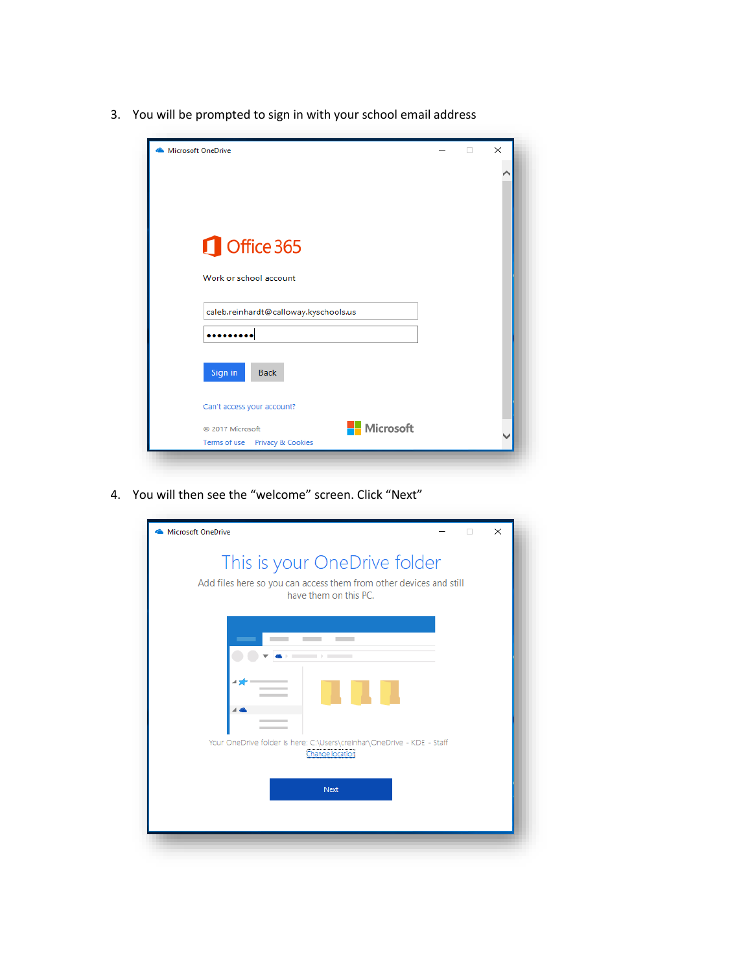3. You will be prompted to sign in with your school email address

| Microsoft OneDrive                    |  | $\times$ |
|---------------------------------------|--|----------|
|                                       |  |          |
|                                       |  |          |
|                                       |  |          |
| Office 365                            |  |          |
| Work or school account                |  |          |
| caleb.reinhardt@calloway.kyschools.us |  |          |
|                                       |  |          |
|                                       |  |          |
| Sign in<br><b>Back</b>                |  |          |
| Can't access your account?            |  |          |
| Microsoft<br>2017 Microsoft           |  |          |
| Terms of use Privacy & Cookies        |  |          |

4. You will then see the "welcome" screen. Click "Next"

| Microsoft OneDrive                                                                                                          |  | X |  |
|-----------------------------------------------------------------------------------------------------------------------------|--|---|--|
| This is your OneDrive folder<br>Add files here so you can access them from other devices and still<br>have them on this PC. |  |   |  |
| Your OneDrive folder is here: C:\Users\creinhar\OneDrive - KDE - Staff<br>Change location<br>Next                           |  |   |  |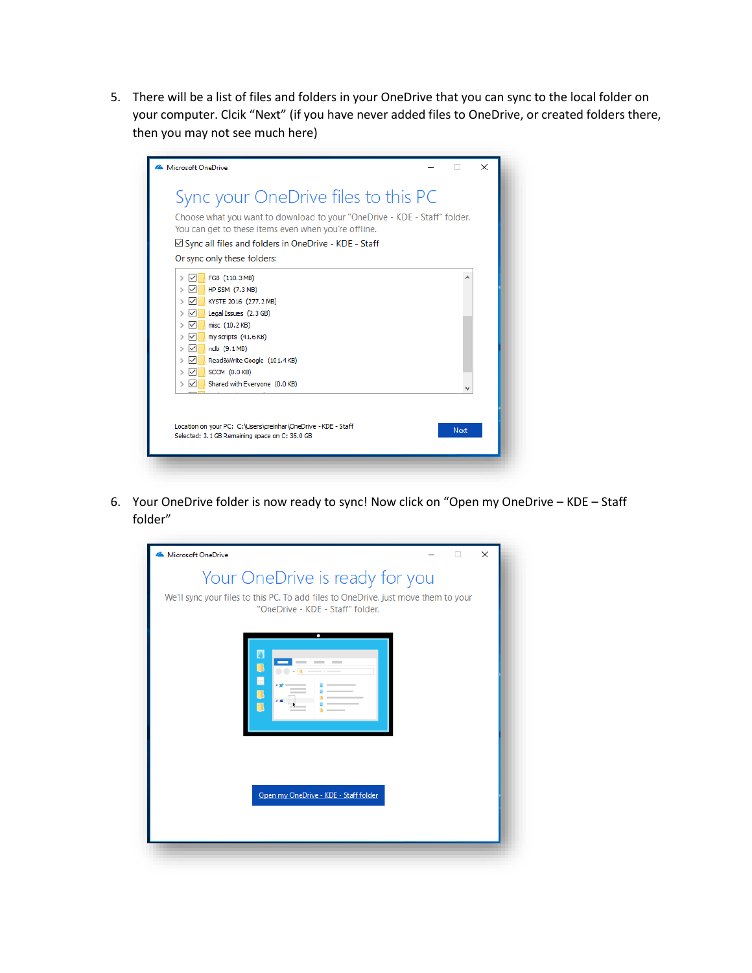5. There will be a list of files and folders in your OneDrive that you can sync to the local folder on your computer. Clcik "Next" (if you have never added files to OneDrive, or created folders there, then you may not see much here)

| Microsoft OneDrive                                                                                                                                                                                                                                                                                                                  |             | $\times$ |
|-------------------------------------------------------------------------------------------------------------------------------------------------------------------------------------------------------------------------------------------------------------------------------------------------------------------------------------|-------------|----------|
| Sync your OneDrive files to this PC                                                                                                                                                                                                                                                                                                 |             |          |
| Choose what you want to download to your "OneDrive - KDE - Staff" folder.<br>You can get to these items even when you're offline.                                                                                                                                                                                                   |             |          |
| $\boxtimes$ Sync all files and folders in OneDrive - KDE - Staff                                                                                                                                                                                                                                                                    |             |          |
| Or sync only these folders:                                                                                                                                                                                                                                                                                                         |             |          |
| FG8 (110.3 MB)<br>∨<br>⋋<br>HP SSM (7.3 MB)<br>$\,>\,$<br>∨<br>KYSTE 2016 (277.2 MB)<br>><br>Legal Issues (2.3 GB)<br>✓<br>$\mathcal{P}$<br>misc (10.2 KB)<br>∨<br>$\rightarrow$<br>✓<br>my scripts (41.6 KB)<br>$\rightarrow$<br>ndb (9.1MB)<br>$\checkmark$<br>$\rightarrow$<br>Read&Write Google (101.4KB)<br>◡<br>$\rightarrow$ |             |          |
| SCCM (0.0 KB)<br>$\checkmark$<br>$\rightarrow$<br>Shared with Everyone (0.0 KB)<br>$\rightarrow$<br>∨                                                                                                                                                                                                                               |             |          |
| Location on your PC: C: \Users\creinhar\OneDrive - KDE - Staff<br>Selected: 3.1 GB Remaining space on C: 35.0 GB                                                                                                                                                                                                                    | <b>Next</b> |          |

6. Your OneDrive folder is now ready to sync! Now click on "Open my OneDrive – KDE – Staff folder"

| Microsoft OneDrive                                                                                                     |  | × |
|------------------------------------------------------------------------------------------------------------------------|--|---|
| Your OneDrive is ready for you                                                                                         |  |   |
| We'll sync your files to this PC. To add files to OneDrive, just move them to your<br>"OneDrive - KDE - Staff" folder. |  |   |
| ۰                                                                                                                      |  |   |
| Open my OneDrive - KDE - Staff folder                                                                                  |  |   |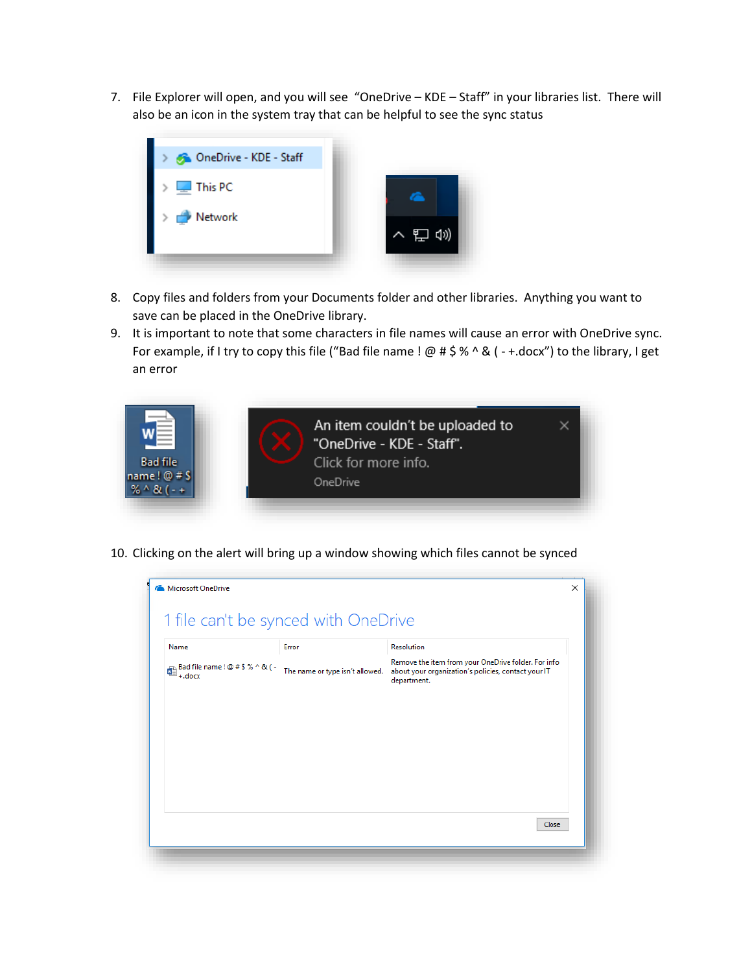7. File Explorer will open, and you will see "OneDrive – KDE – Staff" in your libraries list. There will also be an icon in the system tray that can be helpful to see the sync status



- 8. Copy files and folders from your Documents folder and other libraries. Anything you want to save can be placed in the OneDrive library.
- 9. It is important to note that some characters in file names will cause an error with OneDrive sync. For example, if I try to copy this file ("Bad file name !  $@# $% \wedge @$  (-+.docx") to the library, I get an error



10. Clicking on the alert will bring up a window showing which files cannot be synced

| Name                                                                                                               | Error                           | <b>Resolution</b>                                                                                                         |
|--------------------------------------------------------------------------------------------------------------------|---------------------------------|---------------------------------------------------------------------------------------------------------------------------|
| $\bigoplus_{+,\text{docx}}^{\text{Bad file name } ! \, \textcircled{x} \, \# \, \text{S} \, \%\wedge \text{R}$ ( - | The name or type isn't allowed. | Remove the item from your OneDrive folder. For info<br>about your organization's policies, contact your IT<br>department. |
|                                                                                                                    |                                 |                                                                                                                           |
|                                                                                                                    |                                 |                                                                                                                           |
|                                                                                                                    |                                 |                                                                                                                           |
|                                                                                                                    |                                 |                                                                                                                           |
|                                                                                                                    |                                 |                                                                                                                           |
|                                                                                                                    |                                 |                                                                                                                           |